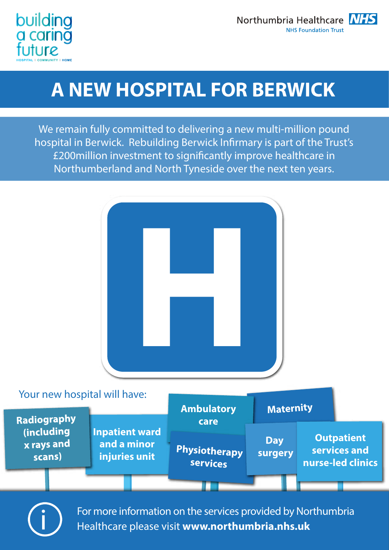

## **A NEW HOSPITAL FOR BERWICK**

We remain fully committed to delivering a new multi-million pound hospital in Berwick. Rebuilding Berwick Infirmary is part of the Trust's £200 million investment to significantly improve healthcare in Northumberland and North Tyneside over the next ten years.



For more information on the services provided by Northumbria<br>Healthcare please visit **www.northumbria.nhs.uk**